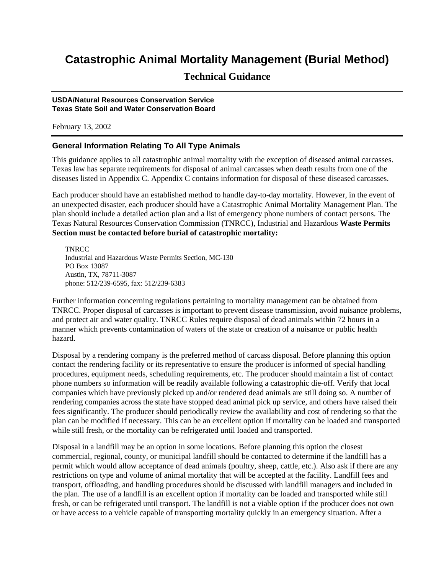# **Catastrophic Animal Mortality Management (Burial Method)**

# **Technical Guidance**

### **USDA/Natural Resources Conservation Service Texas State Soil and Water Conservation Board**

February 13, 2002

# **General Information Relating To All Type Animals**

This guidance applies to all catastrophic animal mortality with the exception of diseased animal carcasses. Texas law has separate requirements for disposal of animal carcasses when death results from one of the diseases listed in Appendix C. Appendix C contains information for disposal of these diseased carcasses.

Each producer should have an established method to handle day-to-day mortality. However, in the event of an unexpected disaster, each producer should have a Catastrophic Animal Mortality Management Plan. The plan should include a detailed action plan and a list of emergency phone numbers of contact persons. The Texas Natural Resources Conservation Commission (TNRCC), Industrial and Hazardous **Waste Permits Section must be contacted before burial of catastrophic mortality:**

**TNRCC** Industrial and Hazardous Waste Permits Section, MC-130 PO Box 13087 Austin, TX, 78711-3087 phone: 512/239-6595, fax: 512/239-6383

Further information concerning regulations pertaining to mortality management can be obtained from TNRCC. Proper disposal of carcasses is important to prevent disease transmission, avoid nuisance problems, and protect air and water quality. TNRCC Rules require disposal of dead animals within 72 hours in a manner which prevents contamination of waters of the state or creation of a nuisance or public health hazard.

Disposal by a rendering company is the preferred method of carcass disposal. Before planning this option contact the rendering facility or its representative to ensure the producer is informed of special handling procedures, equipment needs, scheduling requirements, etc. The producer should maintain a list of contact phone numbers so information will be readily available following a catastrophic die-off. Verify that local companies which have previously picked up and/or rendered dead animals are still doing so. A number of rendering companies across the state have stopped dead animal pick up service, and others have raised their fees significantly. The producer should periodically review the availability and cost of rendering so that the plan can be modified if necessary. This can be an excellent option if mortality can be loaded and transported while still fresh, or the mortality can be refrigerated until loaded and transported.

Disposal in a landfill may be an option in some locations. Before planning this option the closest commercial, regional, county, or municipal landfill should be contacted to determine if the landfill has a permit which would allow acceptance of dead animals (poultry, sheep, cattle, etc.). Also ask if there are any restrictions on type and volume of animal mortality that will be accepted at the facility. Landfill fees and transport, offloading, and handling procedures should be discussed with landfill managers and included in the plan. The use of a landfill is an excellent option if mortality can be loaded and transported while still fresh, or can be refrigerated until transport. The landfill is not a viable option if the producer does not own or have access to a vehicle capable of transporting mortality quickly in an emergency situation. After a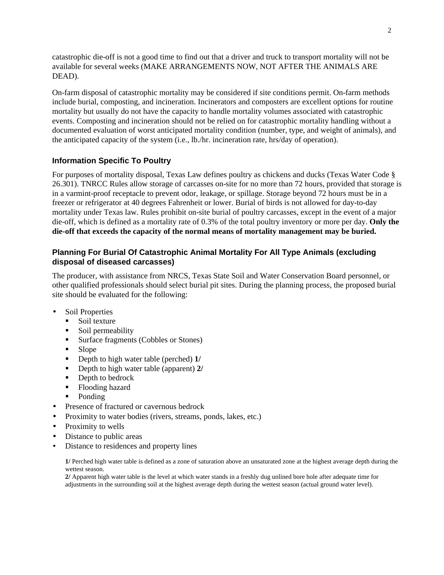catastrophic die-off is not a good time to find out that a driver and truck to transport mortality will not be available for several weeks (MAKE ARRANGEMENTS NOW, NOT AFTER THE ANIMALS ARE DEAD).

On-farm disposal of catastrophic mortality may be considered if site conditions permit. On-farm methods include burial, composting, and incineration. Incinerators and composters are excellent options for routine mortality but usually do not have the capacity to handle mortality volumes associated with catastrophic events. Composting and incineration should not be relied on for catastrophic mortality handling without a documented evaluation of worst anticipated mortality condition (number, type, and weight of animals), and the anticipated capacity of the system (i.e., lb./hr. incineration rate, hrs/day of operation).

# **Information Specific To Poultry**

For purposes of mortality disposal, Texas Law defines poultry as chickens and ducks (Texas Water Code § 26.301). TNRCC Rules allow storage of carcasses on-site for no more than 72 hours, provided that storage is in a varmint-proof receptacle to prevent odor, leakage, or spillage. Storage beyond 72 hours must be in a freezer or refrigerator at 40 degrees Fahrenheit or lower. Burial of birds is not allowed for day-to-day mortality under Texas law. Rules prohibit on-site burial of poultry carcasses, except in the event of a major die-off, which is defined as a mortality rate of 0.3% of the total poultry inventory or more per day. **Only the die-off that exceeds the capacity of the normal means of mortality management may be buried.**

# **Planning For Burial Of Catastrophic Animal Mortality For All Type Animals (excluding disposal of diseased carcasses)**

The producer, with assistance from NRCS, Texas State Soil and Water Conservation Board personnel, or other qualified professionals should select burial pit sites. During the planning process, the proposed burial site should be evaluated for the following:

- Soil Properties
	- $\blacksquare$  Soil texture
	- Soil permeability
	- Surface fragments (Cobbles or Stones)
	- Slope
	- **•** Depth to high water table (perched) 1/
	- Depth to high water table (apparent) **2/**
	- $\blacksquare$  Depth to bedrock
	- Flooding hazard
	- $\blacksquare$  Ponding
- Presence of fractured or cavernous bedrock
- Proximity to water bodies (rivers, streams, ponds, lakes, etc.)
- Proximity to wells
- Distance to public areas
- Distance to residences and property lines

**1/** Perched high water table is defined as a zone of saturation above an unsaturated zone at the highest average depth during the wettest season.

**2/** Apparent high water table is the level at which water stands in a freshly dug unlined bore hole after adequate time for adjustments in the surrounding soil at the highest average depth during the wettest season (actual ground water level).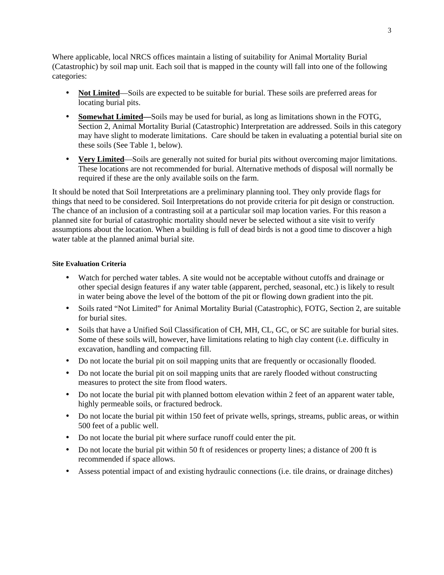Where applicable, local NRCS offices maintain a listing of suitability for Animal Mortality Burial (Catastrophic) by soil map unit. Each soil that is mapped in the county will fall into one of the following categories:

- **Not Limited**—Soils are expected to be suitable for burial. These soils are preferred areas for locating burial pits.
- **Somewhat Limited—**Soils may be used for burial, as long as limitations shown in the FOTG, Section 2, Animal Mortality Burial (Catastrophic) Interpretation are addressed. Soils in this category may have slight to moderate limitations. Care should be taken in evaluating a potential burial site on these soils (See Table 1, below).
- **Very Limited**—Soils are generally not suited for burial pits without overcoming major limitations. These locations are not recommended for burial. Alternative methods of disposal will normally be required if these are the only available soils on the farm.

It should be noted that Soil Interpretations are a preliminary planning tool. They only provide flags for things that need to be considered. Soil Interpretations do not provide criteria for pit design or construction. The chance of an inclusion of a contrasting soil at a particular soil map location varies. For this reason a planned site for burial of catastrophic mortality should never be selected without a site visit to verify assumptions about the location. When a building is full of dead birds is not a good time to discover a high water table at the planned animal burial site.

# **Site Evaluation Criteria**

- Watch for perched water tables. A site would not be acceptable without cutoffs and drainage or other special design features if any water table (apparent, perched, seasonal, etc.) is likely to result in water being above the level of the bottom of the pit or flowing down gradient into the pit.
- Soils rated "Not Limited" for Animal Mortality Burial (Catastrophic), FOTG, Section 2, are suitable for burial sites.
- Soils that have a Unified Soil Classification of CH, MH, CL, GC, or SC are suitable for burial sites. Some of these soils will, however, have limitations relating to high clay content (i.e. difficulty in excavation, handling and compacting fill.
- Do not locate the burial pit on soil mapping units that are frequently or occasionally flooded.
- Do not locate the burial pit on soil mapping units that are rarely flooded without constructing measures to protect the site from flood waters.
- Do not locate the burial pit with planned bottom elevation within 2 feet of an apparent water table, highly permeable soils, or fractured bedrock.
- Do not locate the burial pit within 150 feet of private wells, springs, streams, public areas, or within 500 feet of a public well.
- Do not locate the burial pit where surface runoff could enter the pit.
- Do not locate the burial pit within 50 ft of residences or property lines; a distance of 200 ft is recommended if space allows.
- Assess potential impact of and existing hydraulic connections (i.e. tile drains, or drainage ditches)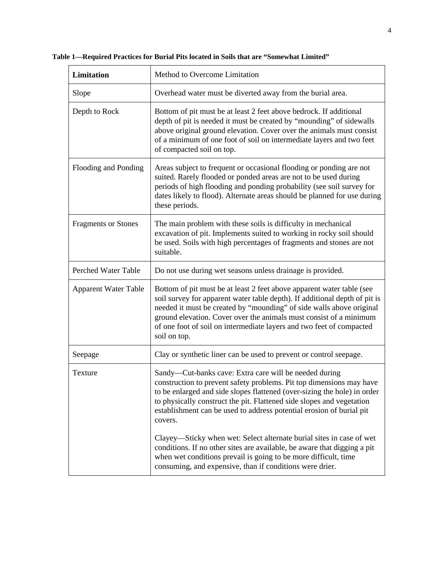| Limitation                  | Method to Overcome Limitation                                                                                                                                                                                                                                                                                                                                                             |  |  |
|-----------------------------|-------------------------------------------------------------------------------------------------------------------------------------------------------------------------------------------------------------------------------------------------------------------------------------------------------------------------------------------------------------------------------------------|--|--|
| Slope                       | Overhead water must be diverted away from the burial area.                                                                                                                                                                                                                                                                                                                                |  |  |
| Depth to Rock               | Bottom of pit must be at least 2 feet above bedrock. If additional<br>depth of pit is needed it must be created by "mounding" of sidewalls<br>above original ground elevation. Cover over the animals must consist<br>of a minimum of one foot of soil on intermediate layers and two feet<br>of compacted soil on top.                                                                   |  |  |
| Flooding and Ponding        | Areas subject to frequent or occasional flooding or ponding are not<br>suited. Rarely flooded or ponded areas are not to be used during<br>periods of high flooding and ponding probability (see soil survey for<br>dates likely to flood). Alternate areas should be planned for use during<br>these periods.                                                                            |  |  |
| <b>Fragments or Stones</b>  | The main problem with these soils is difficulty in mechanical<br>excavation of pit. Implements suited to working in rocky soil should<br>be used. Soils with high percentages of fragments and stones are not<br>suitable.                                                                                                                                                                |  |  |
| Perched Water Table         | Do not use during wet seasons unless drainage is provided.                                                                                                                                                                                                                                                                                                                                |  |  |
| <b>Apparent Water Table</b> | Bottom of pit must be at least 2 feet above apparent water table (see<br>soil survey for apparent water table depth). If additional depth of pit is<br>needed it must be created by "mounding" of side walls above original<br>ground elevation. Cover over the animals must consist of a minimum<br>of one foot of soil on intermediate layers and two feet of compacted<br>soil on top. |  |  |
| Seepage                     | Clay or synthetic liner can be used to prevent or control seepage.                                                                                                                                                                                                                                                                                                                        |  |  |
| Texture                     | Sandy-Cut-banks cave: Extra care will be needed during<br>construction to prevent safety problems. Pit top dimensions may have<br>to be enlarged and side slopes flattened (over-sizing the hole) in order<br>to physically construct the pit. Flattened side slopes and vegetation<br>establishment can be used to address potential erosion of burial pit<br>covers.                    |  |  |
|                             | Clayey—Sticky when wet: Select alternate burial sites in case of wet<br>conditions. If no other sites are available, be aware that digging a pit<br>when wet conditions prevail is going to be more difficult, time<br>consuming, and expensive, than if conditions were drier.                                                                                                           |  |  |

**Table 1—Required Practices for Burial Pits located in Soils that are "Somewhat Limited"**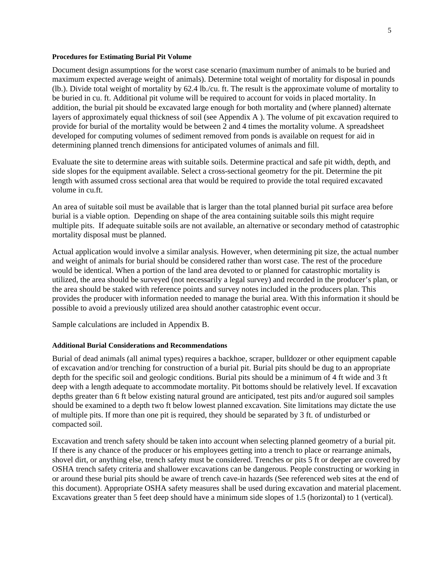#### **Procedures for Estimating Burial Pit Volume**

Document design assumptions for the worst case scenario (maximum number of animals to be buried and maximum expected average weight of animals). Determine total weight of mortality for disposal in pounds (lb.). Divide total weight of mortality by 62.4 lb./cu. ft. The result is the approximate volume of mortality to be buried in cu. ft. Additional pit volume will be required to account for voids in placed mortality. In addition, the burial pit should be excavated large enough for both mortality and (where planned) alternate layers of approximately equal thickness of soil (see Appendix A ). The volume of pit excavation required to provide for burial of the mortality would be between 2 and 4 times the mortality volume. A spreadsheet developed for computing volumes of sediment removed from ponds is available on request for aid in determining planned trench dimensions for anticipated volumes of animals and fill.

Evaluate the site to determine areas with suitable soils. Determine practical and safe pit width, depth, and side slopes for the equipment available. Select a cross-sectional geometry for the pit. Determine the pit length with assumed cross sectional area that would be required to provide the total required excavated volume in cu.ft.

An area of suitable soil must be available that is larger than the total planned burial pit surface area before burial is a viable option. Depending on shape of the area containing suitable soils this might require multiple pits. If adequate suitable soils are not available, an alternative or secondary method of catastrophic mortality disposal must be planned.

Actual application would involve a similar analysis. However, when determining pit size, the actual number and weight of animals for burial should be considered rather than worst case. The rest of the procedure would be identical. When a portion of the land area devoted to or planned for catastrophic mortality is utilized, the area should be surveyed (not necessarily a legal survey) and recorded in the producer's plan, or the area should be staked with reference points and survey notes included in the producers plan. This provides the producer with information needed to manage the burial area. With this information it should be possible to avoid a previously utilized area should another catastrophic event occur.

Sample calculations are included in Appendix B.

### **Additional Burial Considerations and Recommendations**

Burial of dead animals (all animal types) requires a backhoe, scraper, bulldozer or other equipment capable of excavation and/or trenching for construction of a burial pit. Burial pits should be dug to an appropriate depth for the specific soil and geologic conditions. Burial pits should be a minimum of 4 ft wide and 3 ft deep with a length adequate to accommodate mortality. Pit bottoms should be relatively level. If excavation depths greater than 6 ft below existing natural ground are anticipated, test pits and/or augured soil samples should be examined to a depth two ft below lowest planned excavation. Site limitations may dictate the use of multiple pits. If more than one pit is required, they should be separated by 3 ft. of undisturbed or compacted soil.

Excavation and trench safety should be taken into account when selecting planned geometry of a burial pit. If there is any chance of the producer or his employees getting into a trench to place or rearrange animals, shovel dirt, or anything else, trench safety must be considered. Trenches or pits 5 ft or deeper are covered by OSHA trench safety criteria and shallower excavations can be dangerous. People constructing or working in or around these burial pits should be aware of trench cave-in hazards (See referenced web sites at the end of this document). Appropriate OSHA safety measures shall be used during excavation and material placement. Excavations greater than 5 feet deep should have a minimum side slopes of 1.5 (horizontal) to 1 (vertical).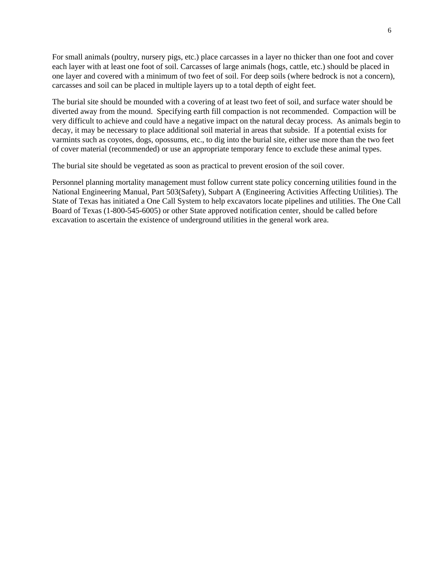For small animals (poultry, nursery pigs, etc.) place carcasses in a layer no thicker than one foot and cover each layer with at least one foot of soil. Carcasses of large animals (hogs, cattle, etc.) should be placed in one layer and covered with a minimum of two feet of soil. For deep soils (where bedrock is not a concern), carcasses and soil can be placed in multiple layers up to a total depth of eight feet.

The burial site should be mounded with a covering of at least two feet of soil, and surface water should be diverted away from the mound. Specifying earth fill compaction is not recommended. Compaction will be very difficult to achieve and could have a negative impact on the natural decay process. As animals begin to decay, it may be necessary to place additional soil material in areas that subside. If a potential exists for varmints such as coyotes, dogs, opossums, etc., to dig into the burial site, either use more than the two feet of cover material (recommended) or use an appropriate temporary fence to exclude these animal types.

The burial site should be vegetated as soon as practical to prevent erosion of the soil cover.

Personnel planning mortality management must follow current state policy concerning utilities found in the National Engineering Manual, Part 503(Safety), Subpart A (Engineering Activities Affecting Utilities). The State of Texas has initiated a One Call System to help excavators locate pipelines and utilities. The One Call Board of Texas (1-800-545-6005) or other State approved notification center, should be called before excavation to ascertain the existence of underground utilities in the general work area.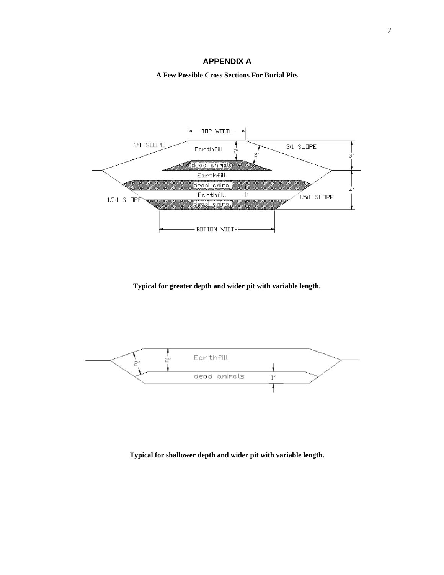**A Few Possible Cross Sections For Burial Pits**



**Typical for greater depth and wider pit with variable length.**



**Typical for shallower depth and wider pit with variable length.**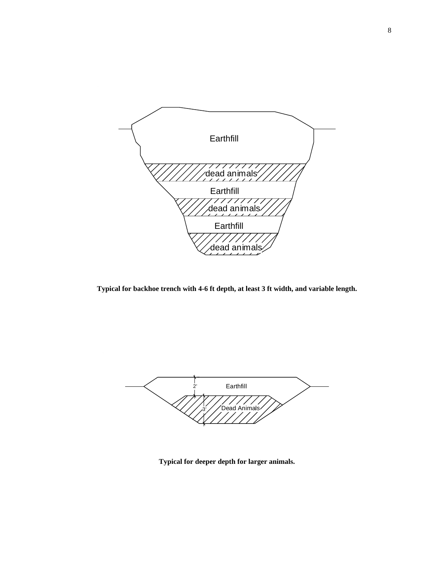

**Typical for backhoe trench with 4-6 ft depth, at least 3 ft width, and variable length.**



**Typical for deeper depth for larger animals.**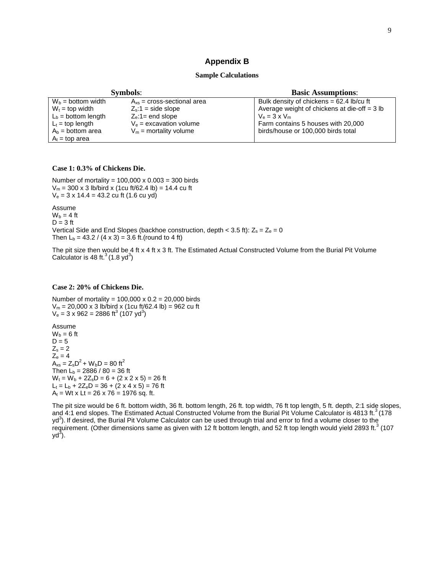### **Appendix B**

#### **Sample Calculations**

| <b>Symbols:</b>       |                                 | <b>Basic Assumptions:</b>                      |
|-----------------------|---------------------------------|------------------------------------------------|
| $W_b =$ bottom width  | $A_{xs}$ = cross-sectional area | Bulk density of chickens = $62.4$ lb/cu ft     |
| $W_t =$ top width     | $Z_s$ :1 = side slope           | Average weight of chickens at die-off $=$ 3 lb |
| $L_b =$ bottom length | $Z_e$ :1= end slope             | $V_e = 3 \times V_m$                           |
| $L_t =$ top length    | $V_e$ = excavation volume       | Farm contains 5 houses with 20,000             |
| $A_b = bottom area$   | $V_m$ = mortality volume        | birds/house or 100,000 birds total             |
| $A_t$ = top area      |                                 |                                                |

#### **Case 1: 0.3% of Chickens Die.**

Number of mortality =  $100,000 \times 0.003 = 300$  birds  $V_m = 300 \times 3$  lb/bird x (1cu ft/62.4 lb) = 14.4 cu ft  $V_e = 3 \times 14.4 = 43.2$  cu ft (1.6 cu yd)

Assume  $W_b = 4$  ft  $D = 3$  ft Vertical Side and End Slopes (backhoe construction, depth < 3.5 ft):  $Z_s = Z_e = 0$ Then  $L_b = 43.2 / (4 \times 3) = 3.6$  ft.(round to 4 ft)

The pit size then would be 4 ft x 4 ft x 3 ft. The Estimated Actual Constructed Volume from the Burial Pit Volume Calculator is 48 ft. $3(1.8 \text{ yd}^3)$ 

#### **Case 2: 20% of Chickens Die.**

Number of mortality =  $100,000 \times 0.2 = 20,000$  birds  $V_m = 20,000 \times 3$  lb/bird x (1cu ft/62.4 lb) = 962 cu ft  $V_e = 3 \times 962 = 2886 \text{ ft}^3 (107 \text{ yd}^3)$ 

Assume  $W_b = 6$  ft  $D = 5$  $Z_s = 2$  $Z_e = 4$  $\overline{A}_{xs} = Z_s D^2 + W_b D = 80$  ft<sup>2</sup> Then  $L_b = 2886 / 80 = 36$  ft  $W_t = W_b + 2Z_sD = 6 + (2 \times 2 \times 5) = 26$  ft  $L_t = L_b + 2Z_e D = 36 + (2 \times 4 \times 5) = 76$  ft  $A_t$  = Wt x Lt = 26 x 76 = 1976 sq. ft.

The pit size would be 6 ft. bottom width, 36 ft. bottom length, 26 ft. top width, 76 ft top length, 5 ft. depth, 2:1 side slopes, and 4:1 end slopes. The Estimated Actual Constructed Volume from the Burial Pit Volume Calculator is 4813 ft.<sup>3</sup> (178) yd<sup>3</sup>). If desired, the Burial Pit Volume Calculator can be used through trial and error to find a volume closer to the requirement. (Other dimensions same as given with 12 ft bottom length, and 52 ft top length would yield 2893 ft.<sup>3</sup> (107  $yd^3$ ).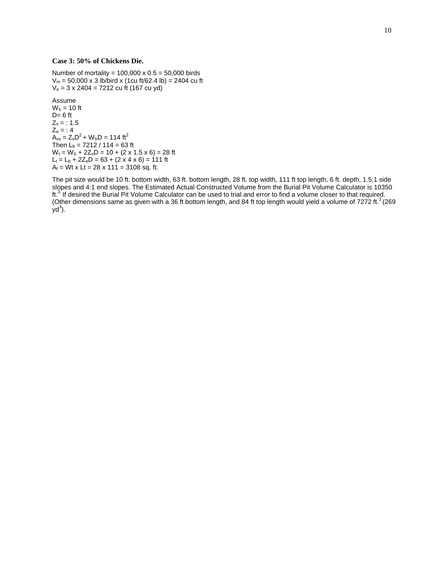#### **Case 3: 50% of Chickens Die.**

Number of mortality =  $100,000 \times 0.5 = 50,000$  birds  $V_m = 50,000 \times 3$  lb/bird x (1cu ft/62.4 lb) = 2404 cu ft  $V_e = 3 \times 2404 = 7212$  cu ft (167 cu yd)

Assume  $W_b = 10$  ft  $D= 6$  ft  $Z_s = 1.5$  $Z_e = 1.4$  $A_{xs} = Z_s D^2 + W_b D = 114 \text{ ft}^2$ Then  $L_b = 7212 / 114 = 63$  ft  $W_t = W_b + 2Z_sD = 10 + (2 \times 1.5 \times 6) = 28$  ft  $L_t = L_b + 2Z_e D = 63 + (2 \times 4 \times 6) = 111$  ft  $A_t$  = Wt x Lt = 28 x 111 = 3108 sq. ft.

The pit size would be 10 ft. bottom width, 63 ft. bottom length, 28 ft. top width, 111 ft top length, 6 ft. depth, 1.5:1 side slopes and 4:1 end slopes. The Estimated Actual Constructed Volume from the Burial Pit Volume Calculator is 10350 ft.<sup>3.</sup> If desired the Burial Pit Volume Calculator can be used to trial and error to find a volume closer to that required. (Other dimensions same as given with a 36 ft bottom length, and 84 ft top length would yield a volume of 7272 ft. $3$  (269)  $yd^3$ ).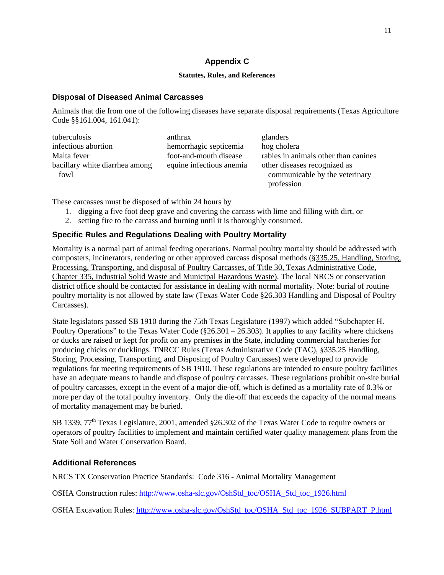### 11

# **Appendix C**

### **Statutes, Rules, and References**

### **Disposal of Diseased Animal Carcasses**

Animals that die from one of the following diseases have separate disposal requirements (Texas Agriculture Code §§161.004, 161.041):

| tuberculosis                   | anthrax                  | glanders                             |
|--------------------------------|--------------------------|--------------------------------------|
| infectious abortion            | hemorrhagic septicemia   | hog cholera                          |
| Malta fever                    | foot-and-mouth disease   | rabies in animals other than canines |
| bacillary white diarrhea among | equine infectious anemia | other diseases recognized as         |
| fowl                           |                          | communicable by the veterinary       |
|                                |                          | profession                           |

These carcasses must be disposed of within 24 hours by

- 1. digging a five foot deep grave and covering the carcass with lime and filling with dirt, or
- 2. setting fire to the carcass and burning until it is thoroughly consumed.

# **Specific Rules and Regulations Dealing with Poultry Mortality**

Mortality is a normal part of animal feeding operations. Normal poultry mortality should be addressed with composters, incinerators, rendering or other approved carcass disposal methods (§335.25, Handling, Storing, Processing, Transporting, and disposal of Poultry Carcasses, of Title 30, Texas Administrative Code, Chapter 335, Industrial Solid Waste and Municipal Hazardous Waste). The local NRCS or conservation district office should be contacted for assistance in dealing with normal mortality. Note: burial of routine poultry mortality is not allowed by state law (Texas Water Code §26.303 Handling and Disposal of Poultry Carcasses).

State legislators passed SB 1910 during the 75th Texas Legislature (1997) which added "Subchapter H. Poultry Operations" to the Texas Water Code ( $\S 26.301 - 26.303$ ). It applies to any facility where chickens or ducks are raised or kept for profit on any premises in the State, including commercial hatcheries for producing chicks or ducklings. TNRCC Rules (Texas Administrative Code (TAC), §335.25 Handling, Storing, Processing, Transporting, and Disposing of Poultry Carcasses) were developed to provide regulations for meeting requirements of SB 1910. These regulations are intended to ensure poultry facilities have an adequate means to handle and dispose of poultry carcasses. These regulations prohibit on-site burial of poultry carcasses, except in the event of a major die-off, which is defined as a mortality rate of 0.3% or more per day of the total poultry inventory. Only the die-off that exceeds the capacity of the normal means of mortality management may be buried.

SB 1339, 77<sup>th</sup> Texas Legislature, 2001, amended §26.302 of the Texas Water Code to require owners or operators of poultry facilities to implement and maintain certified water quality management plans from the State Soil and Water Conservation Board.

# **Additional References**

NRCS TX Conservation Practice Standards: Code 316 - Animal Mortality Management

OSHA Construction rules: http://www.osha-slc.gov/OshStd\_toc/OSHA\_Std\_toc\_1926.html

OSHA Excavation Rules: http://www.osha-slc.gov/OshStd\_toc/OSHA\_Std\_toc\_1926\_SUBPART\_P.html